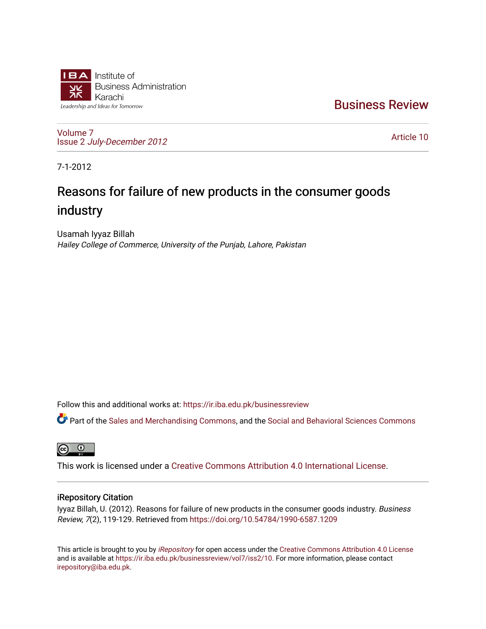

[Business Review](https://ir.iba.edu.pk/businessreview) 

[Volume 7](https://ir.iba.edu.pk/businessreview/vol7) Issue 2 [July-December 2012](https://ir.iba.edu.pk/businessreview/vol7/iss2)

[Article 10](https://ir.iba.edu.pk/businessreview/vol7/iss2/10) 

7-1-2012

# Reasons for failure of new products in the consumer goods industry

Usamah Iyyaz Billah Hailey College of Commerce, University of the Punjab, Lahore, Pakistan

Follow this and additional works at: [https://ir.iba.edu.pk/businessreview](https://ir.iba.edu.pk/businessreview?utm_source=ir.iba.edu.pk%2Fbusinessreview%2Fvol7%2Fiss2%2F10&utm_medium=PDF&utm_campaign=PDFCoverPages) 

Part of the [Sales and Merchandising Commons](http://network.bepress.com/hgg/discipline/646?utm_source=ir.iba.edu.pk%2Fbusinessreview%2Fvol7%2Fiss2%2F10&utm_medium=PDF&utm_campaign=PDFCoverPages), and the [Social and Behavioral Sciences Commons](http://network.bepress.com/hgg/discipline/316?utm_source=ir.iba.edu.pk%2Fbusinessreview%2Fvol7%2Fiss2%2F10&utm_medium=PDF&utm_campaign=PDFCoverPages) 

**ම** 

This work is licensed under a [Creative Commons Attribution 4.0 International License](https://creativecommons.org/licenses/by/4.0/).

## iRepository Citation

Iyyaz Billah, U. (2012). Reasons for failure of new products in the consumer goods industry. Business Review, 7(2), 119-129. Retrieved from<https://doi.org/10.54784/1990-6587.1209>

This article is brought to you by [iRepository](https://ir.iba.edu.pk/) for open access under the Creative Commons Attribution 4.0 License and is available at [https://ir.iba.edu.pk/businessreview/vol7/iss2/10.](https://ir.iba.edu.pk/businessreview/vol7/iss2/10) For more information, please contact [irepository@iba.edu.pk.](mailto:irepository@iba.edu.pk)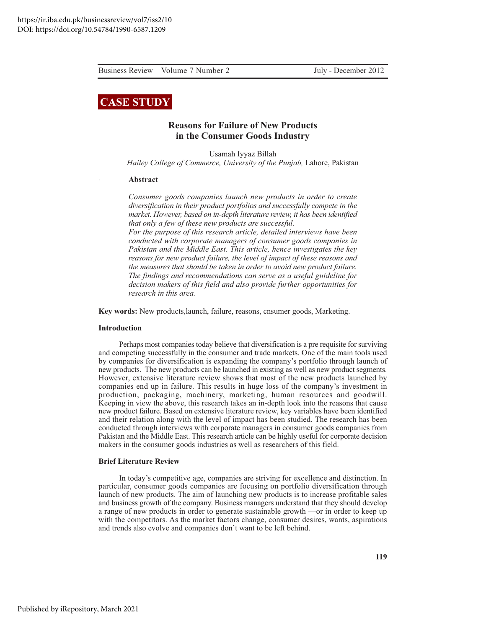July - December 2012

# **CASE STUDY**

### **Reasons for Failure of New Products** in the Consumer Goods Industry

Usamah Iyyaz Billah Hailey College of Commerce, University of the Punjab, Lahore, Pakistan

#### Abstract

Consumer goods companies launch new products in order to create diversification in their product portfolios and successfully compete in the market. However, based on in-depth literature review, it has been identified that only a few of these new products are successful.

For the purpose of this research article, detailed interviews have been conducted with corporate managers of consumer goods companies in Pakistan and the Middle East. This article, hence investigates the key reasons for new product failure, the level of impact of these reasons and the measures that should be taken in order to avoid new product failure. The findings and recommendations can serve as a useful guideline for decision makers of this field and also provide further opportunities for research in this area.

**Key words:** New products, launch, failure, reasons, cnsumer goods, Marketing.

#### **Introduction**

Perhaps most companies today believe that diversification is a pre requisite for surviving and competing successfully in the consumer and trade markets. One of the main tools used by companies for diversification is expanding the company's portfolio through launch of new products. The new products can be launched in existing as well as new product segments. However, extensive literature review shows that most of the new products launched by companies end up in failure. This results in huge loss of the company's investment in production, packaging, machinery, marketing, human resources and goodwill. Keeping in view the above, this research takes an in-depth look into the reasons that cause new product failure. Based on extensive literature review, key variables have been identified and their relation along with the level of impact has been studied. The research has been conducted through interviews with corporate managers in consumer goods companies from Pakistan and the Middle East. This research article can be highly useful for corporate decision makers in the consumer goods industries as well as researchers of this field.

#### **Brief Literature Review**

In today's competitive age, companies are striving for excellence and distinction. In particular, consumer goods companies are focusing on portfolio diversification through launch of new products. The aim of launching new products is to increase profitable sales and business growth of the company. Business managers understand that they should develop a range of new products in order to generate sustainable growth —or in order to keep up with the competitors. As the market factors change, consumer desires, wants, aspirations and trends also evolve and companies don't want to be left behind.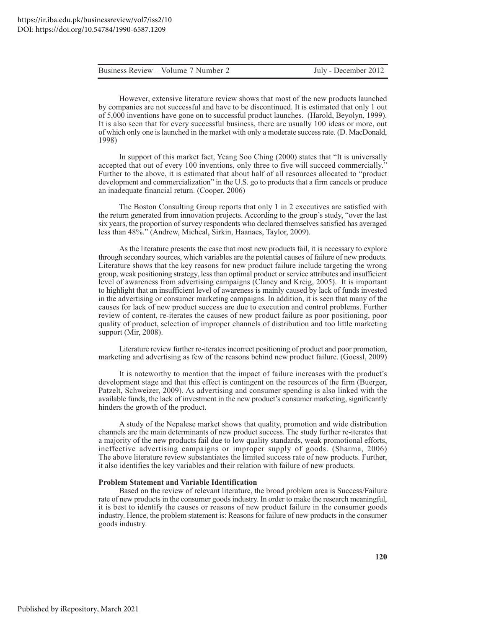| Business Review – Volume 7 Number 2 | July - December 2012 |
|-------------------------------------|----------------------|
|                                     |                      |

However, extensive literature review shows that most of the new products launched by companies are not successful and have to be discontinued. It is estimated that only 1 out of 5,000 inventions have gone on to successful product launches. (Harold, Beyolyn, 1999). It is also seen that for every successful business, there are usually 100 ideas or more, out of which only one is launched in the market with only a moderate success rate. (D. MacDonald, 1998)

In support of this market fact, Yeang Soo Ching (2000) states that "It is universally accepted that out of every 100 inventions, only three to five will succeed commercially." Further to the above, it is estimated that about half of all resources allocated to "product" development and commercialization" in the U.S. go to products that a firm cancels or produce an inadequate financial return. (Cooper, 2006)

The Boston Consulting Group reports that only 1 in 2 executives are satisfied with the return generated from innovation projects. According to the group's study, "over the last six years, the proportion of survey respondents who declared themselves satisfied has averaged less than 48%." (Andrew, Micheal, Sirkin, Haanaes, Taylor, 2009).

As the literature presents the case that most new products fail, it is necessary to explore through secondary sources, which variables are the potential causes of failure of new products. Literature shows that the key reasons for new product failure include targeting the wrong group, weak positioning strategy, less than optimal product or service attributes and insufficient level of awareness from advertising campaigns (Clancy and Kreig, 2005). It is important to highlight that an insufficient level of awareness is mainly caused by lack of funds invested in the advertising or consumer marketing campaigns. In addition, it is seen that many of the causes for lack of new product success are due to execution and control problems. Further review of content, re-iterates the causes of new product failure as poor positioning, poor quality of product, selection of improper channels of distribution and too little marketing support (Mir,  $2008$ ).

Literature review further re-iterates incorrect positioning of product and poor promotion, marketing and advertising as few of the reasons behind new product failure. (Goessl, 2009)

It is noteworthy to mention that the impact of failure increases with the product's development stage and that this effect is contingent on the resources of the firm (Buerger, Patzelt, Schweizer, 2009). As advertising and consumer spending is also linked with the available funds, the lack of investment in the new product's consumer marketing, significantly hinders the growth of the product.

A study of the Nepalese market shows that quality, promotion and wide distribution channels are the main determinants of new product success. The study further re-iterates that a majority of the new products fail due to low quality standards, weak promotional efforts, ineffective advertising campaigns or improper supply of goods. (Sharma, 2006) The above literature review substantiates the limited success rate of new products. Further, it also identifies the key variables and their relation with failure of new products.

#### **Problem Statement and Variable Identification**

Based on the review of relevant literature, the broad problem area is Success/Failure rate of new products in the consumer goods industry. In order to make the research meaningful, it is best to identify the causes or reasons of new product failure in the consumer goods industry. Hence, the problem statement is: Reasons for failure of new products in the consumer goods industry.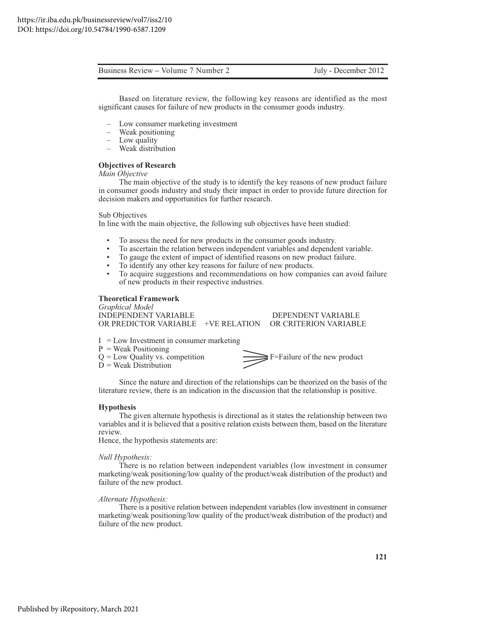Based on literature review, the following key reasons are identified as the most significant causes for failure of new products in the consumer goods industry.

- Low consumer marketing investment
- Weak positioning
- Low quality
- Weak distribution

#### **Objectives of Research**

Main Objective

The main objective of the study is to identify the key reasons of new product failure in consumer goods industry and study their impact in order to provide future direction for decision makers and opportunities for further research.

Sub Objectives

In line with the main objective, the following sub objectives have been studied:

- $\bullet$ To assess the need for new products in the consumer goods industry.
- To ascertain the relation between independent variables and dependent variable.
- To gauge the extent of impact of identified reasons on new product failure.
- To identify any other key reasons for failure of new products.
- $\bullet$ To acquire suggestions and recommendations on how companies can avoid failure of new products in their respective industries.

#### **Theoretical Framework**

**Graphical Model** DEPENDENT VARIABLE **INDEPENDENT VARIABLE** OR PREDICTOR VARIABLE +VE RELATION OR CRITERION VARIABLE

- $I = Low Investment in consumer marketing$
- $P = Weak Positioning$
- $Q = Low$  Quality vs. competition
- $\tilde{D}$  = Weak Distribution



Since the nature and direction of the relationships can be theorized on the basis of the literature review, there is an indication in the discussion that the relationship is positive.

#### **Hypothesis**

The given alternate hypothesis is directional as it states the relationship between two variables and it is believed that a positive relation exists between them, based on the literature review.

Hence, the hypothesis statements are:

#### Null Hypothesis:

There is no relation between independent variables (low investment in consumer marketing/weak positioning/low quality of the product/weak distribution of the product) and failure of the new product.

#### Alternate Hypothesis:

There is a positive relation between independent variables (low investment in consumer marketing/weak positioning/low quality of the product/weak distribution of the product) and failure of the new product.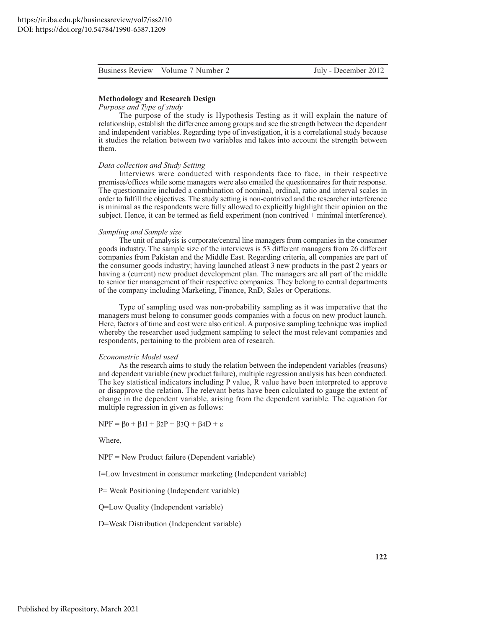#### **Methodology and Research Design**

#### Purpose and Type of study

The purpose of the study is Hypothesis Testing as it will explain the nature of relationship, establish the difference among groups and see the strength between the dependent and independent variables. Regarding type of investigation, it is a correlational study because it studies the relation between two variables and takes into account the strength between them.

#### Data collection and Study Setting

Interviews were conducted with respondents face to face, in their respective premises/offices while some managers were also emailed the questionnaires for their response. The questionnaire included a combination of nominal, ordinal, ratio and interval scales in order to fulfill the objectives. The study setting is non-contrived and the researcher interference is minimal as the respondents were fully allowed to explicitly highlight their opinion on the subject. Hence, it can be termed as field experiment (non contrived + minimal interference).

#### Sampling and Sample size

The unit of analysis is corporate/central line managers from companies in the consumer goods industry. The sample size of the interviews is 53 different managers from 26 different companies from Pakistan and the Middle East. Regarding criteria, all companies are part of the consumer goods industry; having launched at least 3 new products in the past 2 years or having a (current) new product development plan. The managers are all part of the middle to senior tier management of their respective companies. They belong to central departments of the company including Marketing, Finance, RnD, Sales or Operations.

Type of sampling used was non-probability sampling as it was imperative that the managers must belong to consumer goods companies with a focus on new product launch. Here, factors of time and cost were also critical. A purposive sampling technique was implied whereby the researcher used judgment sampling to select the most relevant companies and respondents, pertaining to the problem area of research.

#### Econometric Model used

As the research aims to study the relation between the independent variables (reasons) and dependent variable (new product failure), multiple regression analysis has been conducted. The key statistical indicators including P value, R value have been interpreted to approve or disapprove the relation. The relevant betas have been calculated to gauge the extent of change in the dependent variable, arising from the dependent variable. The equation for multiple regression in given as follows:

 $NPF = \beta_0 + \beta_1I + \beta_2P + \beta_3Q + \beta_4D + \varepsilon$ 

Where.

 $NPF = New Product failure (Dependent variable)$ 

I=Low Investment in consumer marketing (Independent variable)

P = Weak Positioning (Independent variable)

Q=Low Quality (Independent variable)

D=Weak Distribution (Independent variable)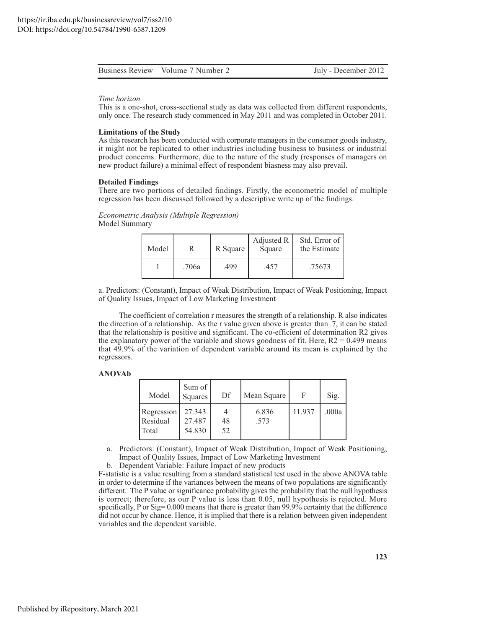#### Time horizon

This is a one-shot, cross-sectional study as data was collected from different respondents, only once. The research study commenced in May 2011 and was completed in October 2011.

#### **Limitations of the Study**

As this research has been conducted with corporate managers in the consumer goods industry, it might not be replicated to other industries including business to business or industrial product concerns. Furthermore, due to the nature of the study (responses of managers on new product failure) a minimal effect of respondent biasness may also prevail.

#### **Detailed Findings**

There are two portions of detailed findings. Firstly, the econometric model of multiple regression has been discussed followed by a descriptive write up of the findings.

#### Econometric Analysis (Multiple Regression) Model Summary

| Model |       | R Square | Adjusted R<br>Square | Std. Error of  <br>the Estimate |
|-------|-------|----------|----------------------|---------------------------------|
|       | .706a | .499     | .457                 | .75673                          |

a. Predictors: (Constant), Impact of Weak Distribution, Impact of Weak Positioning, Impact of Quality Issues, Impact of Low Marketing Investment

The coefficient of correlation r measures the strength of a relationship. R also indicates the direction of a relationship. As the r value given above is greater than .7, it can be stated that the relationship is positive and significant. The co-efficient of determination R2 gives the explanatory power of the variable and shows goodness of fit. Here,  $R2 = 0.499$  means that 49.9% of the variation of dependent variable around its mean is explained by the regressors.

#### **ANOVAb**

| Model                           | Sum of<br>Squares          | Df       | Mean Square   | F      | Sig.  |
|---------------------------------|----------------------------|----------|---------------|--------|-------|
| Regression<br>Residual<br>Total | 27.343<br>27.487<br>54.830 | 48<br>52 | 6.836<br>.573 | 11.937 | .000a |

a. Predictors: (Constant), Impact of Weak Distribution, Impact of Weak Positioning, Impact of Quality Issues, Impact of Low Marketing Investment

b. Dependent Variable: Failure Impact of new products

F-statistic is a value resulting from a standard statistical test used in the above ANOVA table in order to determine if the variances between the means of two populations are significantly different. The P value or significance probability gives the probability that the null hypothesis is correct; therefore, as our P value is less than 0.05, null hypothesis is rejected. More specifically, P or Sig= 0.000 means that there is greater than 99.9% certainty that the difference did not occur by chance. Hence, it is implied that there is a relation between given independent variables and the dependent variable.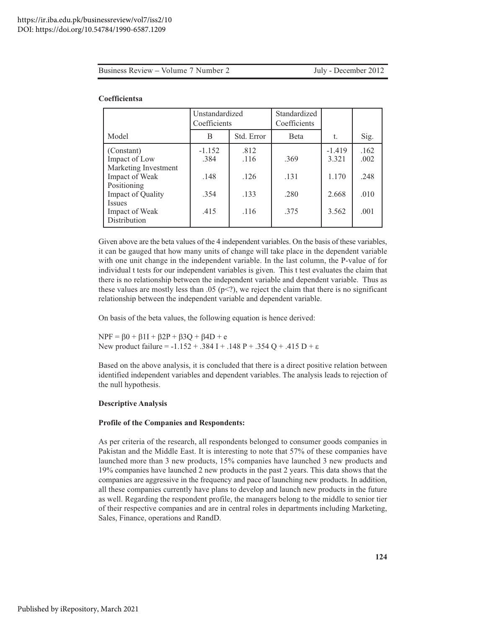| Business Review – Volume 7 Number 2<br>Jul |
|--------------------------------------------|
|--------------------------------------------|

ly - December 2012

#### Coefficientsa

|                                                                                                                                                                     | Unstandardized<br>Coefficients           |                                      | Standardized<br>Coefficients |                                              |                                      |
|---------------------------------------------------------------------------------------------------------------------------------------------------------------------|------------------------------------------|--------------------------------------|------------------------------|----------------------------------------------|--------------------------------------|
| Model                                                                                                                                                               | Std. Error<br>B                          |                                      | <b>B</b> eta                 | t.                                           | Sig.                                 |
| (Constant)<br>Impact of Low<br>Marketing Investment<br>Impact of Weak<br>Positioning<br><b>Impact of Quality</b><br><b>Issues</b><br>Impact of Weak<br>Distribution | $-1.152$<br>.384<br>.148<br>.354<br>.415 | .812<br>.116<br>.126<br>.133<br>.116 | .369<br>.131<br>.280<br>.375 | $-1.419$<br>3.321<br>1.170<br>2.668<br>3.562 | .162<br>.002<br>.248<br>.010<br>.001 |

Given above are the beta values of the 4 independent variables. On the basis of these variables, it can be gauged that how many units of change will take place in the dependent variable with one unit change in the independent variable. In the last column, the P-value of for individual t tests for our independent variables is given. This t test evaluates the claim that there is no relationship between the independent variable and dependent variable. Thus as these values are mostly less than .05 ( $p <$ ?), we reject the claim that there is no significant relationship between the independent variable and dependent variable.

On basis of the beta values, the following equation is hence derived:

 $NPF = \beta 0 + \beta 1I + \beta 2P + \beta 3Q + \beta 4D + e$ New product failure = -1.152 + .384 I + .148 P + .354 Q + .415 D +  $\varepsilon$ 

Based on the above analysis, it is concluded that there is a direct positive relation between identified independent variables and dependent variables. The analysis leads to rejection of the null hypothesis.

#### **Descriptive Analysis**

#### **Profile of the Companies and Respondents:**

As per criteria of the research, all respondents belonged to consumer goods companies in Pakistan and the Middle East. It is interesting to note that 57% of these companies have launched more than 3 new products, 15% companies have launched 3 new products and 19% companies have launched 2 new products in the past 2 years. This data shows that the companies are aggressive in the frequency and pace of launching new products. In addition, all these companies currently have plans to develop and launch new products in the future as well. Regarding the respondent profile, the managers belong to the middle to senior tier of their respective companies and are in central roles in departments including Marketing, Sales, Finance, operations and RandD.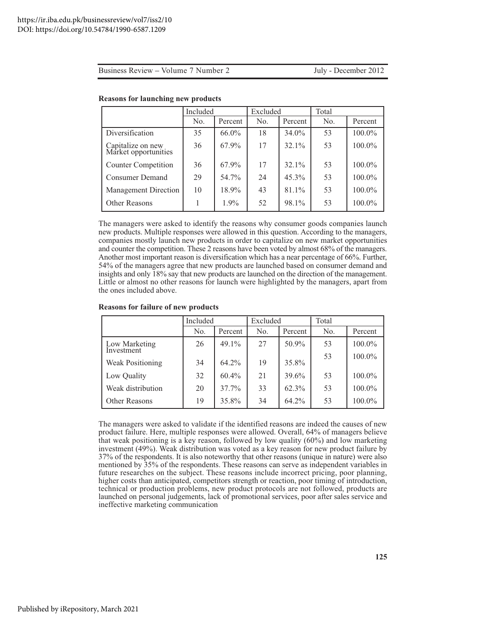July - December 2012

|                                           | Included |          | Excluded |          | Total |         |
|-------------------------------------------|----------|----------|----------|----------|-------|---------|
|                                           | No.      | Percent  | No.      | Percent  | No.   | Percent |
| Diversification                           | 35       | $66.0\%$ | 18       | 34.0%    | 53    | 100.0%  |
| Capitalize on new<br>Market opportunities | 36       | 67.9%    | 17       | $32.1\%$ | 53    | 100.0%  |
| <b>Counter Competition</b>                | 36       | 67.9%    | 17       | 32.1%    | 53    | 100.0%  |
| <b>Consumer Demand</b>                    | 29       | 54.7%    | 24       | $45.3\%$ | 53    | 100.0%  |
| <b>Management Direction</b>               | 10       | 18.9%    | 43       | 81.1%    | 53    | 100.0%  |
| <b>Other Reasons</b>                      |          | $1.9\%$  | 52       | 98.1%    | 53    | 100.0%  |

#### **Reasons for launching new products**

The managers were asked to identify the reasons why consumer goods companies launch new products. Multiple responses were allowed in this question. According to the managers, companies mostly launch new products in order to capitalize on new market opportunities and counter the competition. These 2 reasons have been voted by almost 68% of the managers. Another most important reason is diversification which has a near percentage of 66%. Further, 54% of the managers agree that new products are launched based on consumer demand and insights and only 18% say that new products are launched on the direction of the management. Little or almost no other reasons for launch were highlighted by the managers, apart from the ones included above.

#### **Reasons for failure of new products**

|                             | Included |          | Excluded |          | Total |           |
|-----------------------------|----------|----------|----------|----------|-------|-----------|
|                             | No.      | Percent  | No.      | Percent  | No.   | Percent   |
| Low Marketing<br>Investment | 26       | $49.1\%$ | 27       | 50.9%    | 53    | 100.0%    |
|                             |          |          |          |          | 53    | 100.0%    |
| <b>Weak Positioning</b>     | 34       | $64.2\%$ | 19       | 35.8%    |       |           |
| Low Quality                 | 32       | $60.4\%$ | 21       | 39.6%    | 53    | $100.0\%$ |
| Weak distribution           | 20       | $37.7\%$ | 33       | $62.3\%$ | 53    | 100.0%    |
| Other Reasons               | 19       | 35.8%    | 34       | $64.2\%$ | 53    | 100.0%    |

The managers were asked to validate if the identified reasons are indeed the causes of new product failure. Here, multiple responses were allowed. Overall, 64% of managers believe that weak positioning is a key reason, followed by low quality (60%) and low marketing investment (49%). Weak distribution was voted as a key reason for new product failure by 37% of the respondents. It is also noteworthy that other reasons (unique in nature) were also mentioned by 35% of the respondents. These reasons can serve as independent variables in future researches on the subject. These reasons include incorrect pricing, poor planning, higher costs than anticipated, competitors strength or reaction, poor timing of introduction, technical or production problems, new product protocols are not followed, products are launched on personal judgements, lack of promotional services, poor after sales service and ineffective marketing communication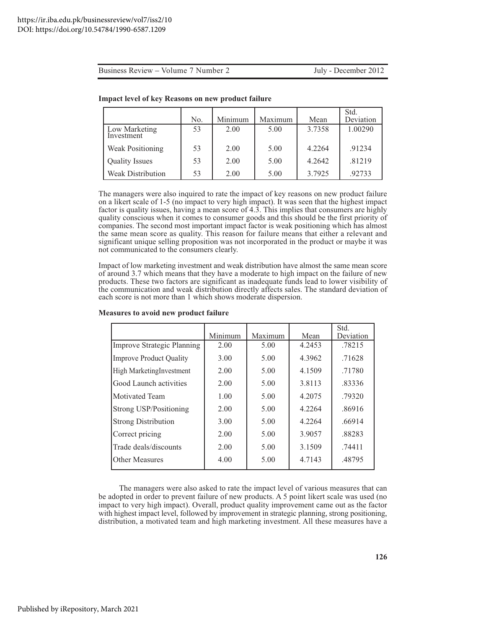July - December 2012

|                             | No. | Minimum | Maximum | Mean   | Std.<br>Deviation |
|-----------------------------|-----|---------|---------|--------|-------------------|
| Low Marketing<br>Investment | 53  | 2.00    | 5.00    | 3.7358 | 1.00290           |
| <b>Weak Positioning</b>     | 53  | 2.00    | 5.00    | 4.2264 | .91234            |
| <b>Quality Issues</b>       | 53  | 2.00    | 5.00    | 4.2642 | .81219            |
| <b>Weak Distribution</b>    | 53  | 2.00    | 5.00    | 3.7925 | .92733            |

#### **Impact level of key Reasons on new product failure**

The managers were also inquired to rate the impact of key reasons on new product failure on a likert scale of 1-5 (no impact to very high impact). It was seen that the highest impact factor is quality issues, having a mean score of  $4.\overline{3}$ . This implies that consumers are highly quality conscious when it comes to consumer goods and this should be the first priority of companies. The second most important impact factor is weak positioning which has almost the same mean score as quality. This reason for failure means that either a relevant and significant unique selling proposition was not incorporated in the product or maybe it was not communicated to the consumers clearly.

Impact of low marketing investment and weak distribution have almost the same mean score of around 3.7 which means that they have a moderate to high impact on the failure of new products. These two factors are significant as inadequate funds lead to lower visibility of the communication and weak distribution directly affects sales. The standard deviation of each score is not more than 1 which shows moderate dispersion.

|                                   | Minimum | Maximum | Mean   | Std.<br>Deviation |
|-----------------------------------|---------|---------|--------|-------------------|
| <b>Improve Strategic Planning</b> | 2.00    | 5.00    | 4.2453 | .78215            |
| <b>Improve Product Quality</b>    | 3.00    | 5.00    | 4.3962 | .71628            |
| High MarketingInvestment          | 2.00    | 5.00    | 4.1509 | .71780            |
| Good Launch activities            | 2.00    | 5.00    | 3.8113 | .83336            |
| Motivated Team                    | 1.00    | 5.00    | 4.2075 | .79320            |
| <b>Strong USP/Positioning</b>     | 2.00    | 5.00    | 4.2264 | .86916            |
| <b>Strong Distribution</b>        | 3.00    | 5.00    | 4.2264 | .66914            |
| Correct pricing                   | 2.00    | 5.00    | 3.9057 | .88283            |
| Trade deals/discounts             | 2.00    | 5.00    | 3.1509 | .74411            |
| Other Measures                    | 4.00    | 5.00    | 4.7143 | .48795            |

#### Measures to avoid new product failure

The managers were also asked to rate the impact level of various measures that can be adopted in order to prevent failure of new products. A 5 point likert scale was used (no impact to very high impact). Overall, product quality improvement came out as the factor with highest impact level, followed by improvement in strategic planning, strong positioning, distribution, a motivated team and high marketing investment. All these measures have a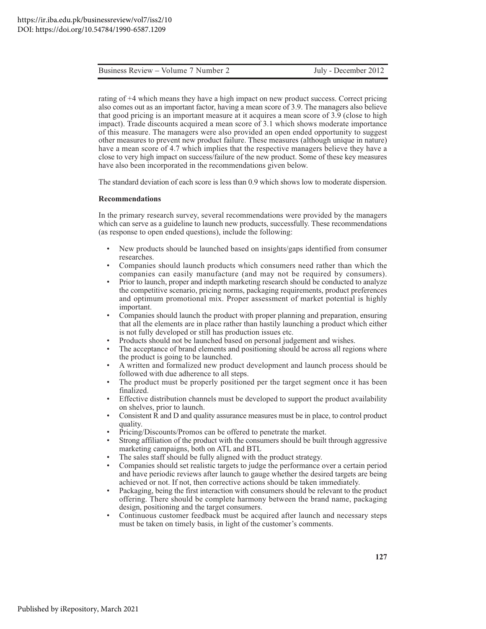rating of +4 which means they have a high impact on new product success. Correct pricing also comes out as an important factor, having a mean score of 3.9. The managers also believe that good pricing is an important measure at it acquires a mean score of 3.9 (close to high impact). Trade discounts acquired a mean score of 3.1 which shows moderate importance of this measure. The managers were also provided an open ended opportunity to suggest other measures to prevent new product failure. These measures (although unique in nature) have a mean score of 4.7 which implies that the respective managers believe they have a close to very high impact on success/failure of the new product. Some of these key measures have also been incorporated in the recommendations given below.

The standard deviation of each score is less than 0.9 which shows low to moderate dispersion.

#### **Recommendations**

In the primary research survey, several recommendations were provided by the managers which can serve as a guideline to launch new products, successfully. These recommendations (as response to open ended questions), include the following:

- New products should be launched based on insights/gaps identified from consumer  $\bullet$ researches.
- Companies should launch products which consumers need rather than which the companies can easily manufacture (and may not be required by consumers).
- Prior to launch, proper and indepth marketing research should be conducted to analyze the competitive scenario, pricing norms, packaging requirements, product preferences and optimum promotional mix. Proper assessment of market potential is highly important.
- Companies should launch the product with proper planning and preparation, ensuring that all the elements are in place rather than hastily launching a product which either is not fully developed or still has production issues etc.
- Products should not be launched based on personal judgement and wishes.
- The acceptance of brand elements and positioning should be across all regions where the product is going to be launched.
- A written and formalized new product development and launch process should be followed with due adherence to all steps.
- The product must be properly positioned per the target segment once it has been finalized.
- Effective distribution channels must be developed to support the product availability on shelves, prior to launch.
- Consistent R and D and quality assurance measures must be in place, to control product quality.
- Pricing/Discounts/Promos can be offered to penetrate the market.
- Strong affiliation of the product with the consumers should be built through aggressive marketing campaigns, both on ATL and BTL
- The sales staff should be fully aligned with the product strategy.
- Companies should set realistic targets to judge the performance over a certain period and have periodic reviews after launch to gauge whether the desired targets are being achieved or not. If not, then corrective actions should be taken immediately.
- Packaging, being the first interaction with consumers should be relevant to the product offering. There should be complete harmony between the brand name, packaging design, positioning and the target consumers.
- Continuous customer feedback must be acquired after launch and necessary steps must be taken on timely basis, in light of the customer's comments.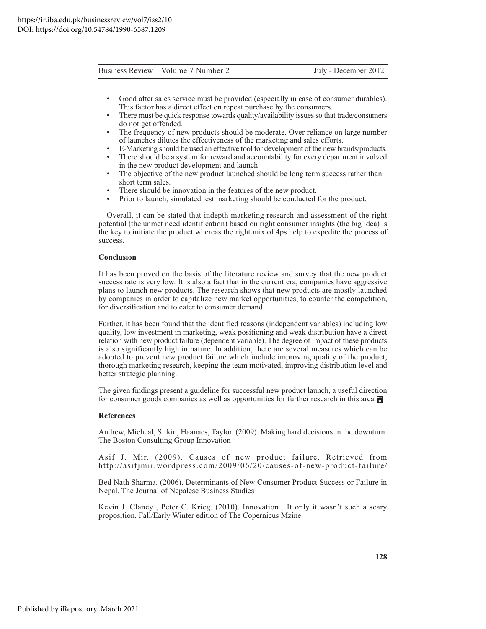- Good after sales service must be provided (especially in case of consumer durables). This factor has a direct effect on repeat purchase by the consumers.
- There must be quick response towards quality/availability issues so that trade/consumers do not get offended.
- The frequency of new products should be moderate. Over reliance on large number of launches dilutes the effectiveness of the marketing and sales efforts.
- E-Marketing should be used an effective tool for development of the new brands/products.
- There should be a system for reward and accountability for every department involved in the new product development and launch
- The objective of the new product launched should be long term success rather than short term sales.
- There should be innovation in the features of the new product.
- Prior to launch, simulated test marketing should be conducted for the product.

Overall, it can be stated that indepth marketing research and assessment of the right potential (the unmet need identification) based on right consumer insights (the big idea) is the key to initiate the product whereas the right mix of 4ps help to expedite the process of success.

#### Conclusion

It has been proved on the basis of the literature review and survey that the new product success rate is very low. It is also a fact that in the current era, companies have aggressive plans to launch new products. The research shows that new products are mostly launched by companies in order to capitalize new market opportunities, to counter the competition, for diversification and to cater to consumer demand.

Further, it has been found that the identified reasons (independent variables) including low quality, low investment in marketing, weak positioning and weak distribution have a direct relation with new product failure (dependent variable). The degree of impact of these products is also significantly high in nature. In addition, there are several measures which can be adopted to prevent new product failure which include improving quality of the product, thorough marketing research, keeping the team motivated, improving distribution level and better strategic planning.

The given findings present a guideline for successful new product launch, a useful direction for consumer goods companies as well as opportunities for further research in this area.

#### **References**

Andrew, Micheal, Sirkin, Haanaes, Taylor. (2009). Making hard decisions in the downturn. The Boston Consulting Group Innovation

Asif J. Mir. (2009). Causes of new product failure. Retrieved from http://asifjmir.wordpress.com/2009/06/20/causes-of-new-product-failure/

Bed Nath Sharma. (2006). Determinants of New Consumer Product Success or Failure in Nepal. The Journal of Nepalese Business Studies

Kevin J. Clancy, Peter C. Krieg. (2010). Innovation...It only it wasn't such a scary proposition. Fall/Early Winter edition of The Copernicus Mzine.